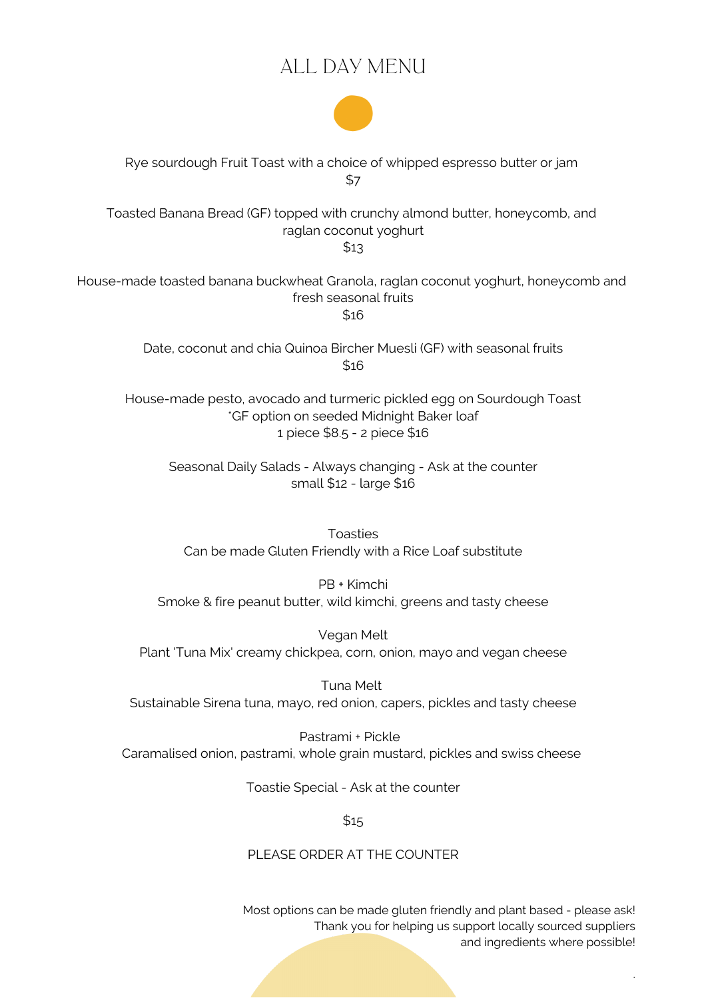# ALL DAY MENU



Rye sourdough Fruit Toast with a choice of whipped espresso butter or jam \$7

Toasted Banana Bread (GF) topped with crunchy almond butter, honeycomb, and raglan coconut yoghurt

\$13

House-made toasted banana buckwheat Granola, raglan coconut yoghurt, honeycomb and fresh seasonal fruits \$16

> Date, coconut and chia Quinoa Bircher Muesli (GF) with seasonal fruits \$16

House-made pesto, avocado and turmeric pickled egg on Sourdough Toast \*GF option on seeded Midnight Baker loaf 1 piece \$8.5 - 2 piece \$16

Seasonal Daily Salads - Always changing - Ask at the counter small \$12 - large \$16

Toasties Can be made Gluten Friendly with a Rice Loaf substitute

PB + Kimchi Smoke & fire peanut butter, wild kimchi, greens and tasty cheese

Vegan Melt Plant 'Tuna Mix' creamy chickpea, corn, onion, mayo and vegan cheese

Tuna Melt Sustainable Sirena tuna, mayo, red onion, capers, pickles and tasty cheese

Pastrami + Pickle Caramalised onion, pastrami, whole grain mustard, pickles and swiss cheese

Toastie Special - Ask at the counter

 $$15$ 

PLEASE ORDER AT THE COUNTER

Most options can be made gluten friendly and plant based - please ask! Thank you for helping us support locally sourced suppliers and ingredients where possible!

.